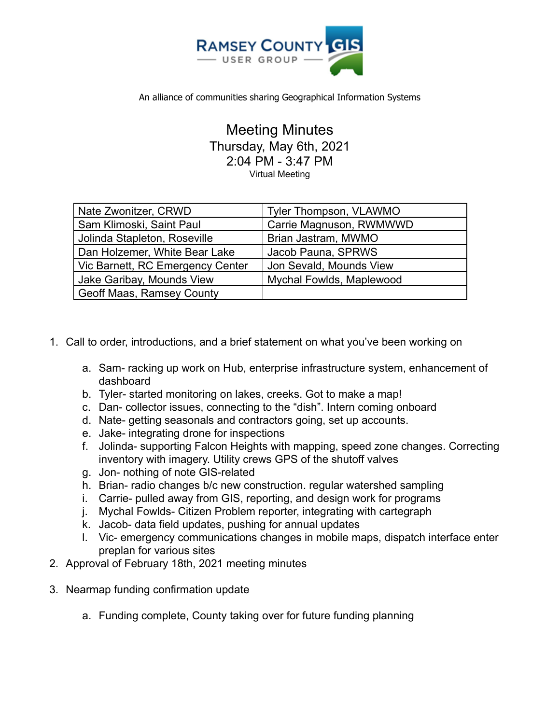

An alliance of communities sharing Geographical Information Systems

Meeting Minutes Thursday, May 6th, 2021 2:04 PM - 3:47 PM Virtual Meeting

| Nate Zwonitzer, CRWD             | Tyler Thompson, VLAWMO   |
|----------------------------------|--------------------------|
| Sam Klimoski, Saint Paul         | Carrie Magnuson, RWMWWD  |
| Jolinda Stapleton, Roseville     | Brian Jastram, MWMO      |
| Dan Holzemer, White Bear Lake    | Jacob Pauna, SPRWS       |
| Vic Barnett, RC Emergency Center | Jon Sevald, Mounds View  |
| Jake Garibay, Mounds View        | Mychal Fowlds, Maplewood |
| Geoff Maas, Ramsey County        |                          |

- 1. Call to order, introductions, and a brief statement on what you've been working on
	- a. Sam- racking up work on Hub, enterprise infrastructure system, enhancement of dashboard
	- b. Tyler- started monitoring on lakes, creeks. Got to make a map!
	- c. Dan- collector issues, connecting to the "dish". Intern coming onboard
	- d. Nate- getting seasonals and contractors going, set up accounts.
	- e. Jake- integrating drone for inspections
	- f. Jolinda- supporting Falcon Heights with mapping, speed zone changes. Correcting inventory with imagery. Utility crews GPS of the shutoff valves
	- g. Jon- nothing of note GIS-related
	- h. Brian- radio changes b/c new construction. regular watershed sampling
	- i. Carrie- pulled away from GIS, reporting, and design work for programs
	- j. Mychal Fowlds- Citizen Problem reporter, integrating with cartegraph
	- k. Jacob- data field updates, pushing for annual updates
	- l. Vic- emergency communications changes in mobile maps, dispatch interface enter preplan for various sites
- 2. Approval of February 18th, 2021 meeting minutes
- 3. Nearmap funding confirmation update
	- a. Funding complete, County taking over for future funding planning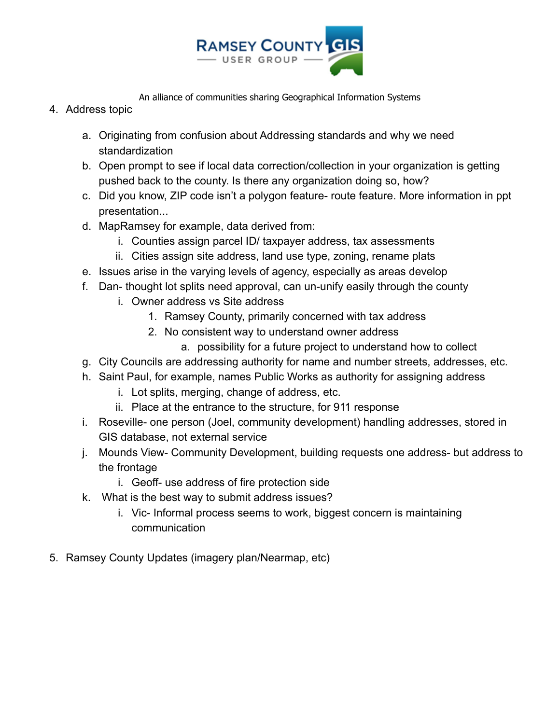

An alliance of communities sharing Geographical Information Systems

- 4. Address topic
	- a. Originating from confusion about Addressing standards and why we need standardization
	- b. Open prompt to see if local data correction/collection in your organization is getting pushed back to the county. Is there any organization doing so, how?
	- c. Did you know, ZIP code isn't a polygon feature- route feature. More information in ppt presentation...
	- d. MapRamsey for example, data derived from:
		- i. Counties assign parcel ID/ taxpayer address, tax assessments
		- ii. Cities assign site address, land use type, zoning, rename plats
	- e. Issues arise in the varying levels of agency, especially as areas develop
	- f. Dan- thought lot splits need approval, can un-unify easily through the county
		- i. Owner address vs Site address
			- 1. Ramsey County, primarily concerned with tax address
			- 2. No consistent way to understand owner address
				- a. possibility for a future project to understand how to collect
	- g. City Councils are addressing authority for name and number streets, addresses, etc.
	- h. Saint Paul, for example, names Public Works as authority for assigning address
		- i. Lot splits, merging, change of address, etc.
		- ii. Place at the entrance to the structure, for 911 response
	- i. Roseville- one person (Joel, community development) handling addresses, stored in GIS database, not external service
	- j. Mounds View- Community Development, building requests one address- but address to the frontage
		- i. Geoff- use address of fire protection side
	- k. What is the best way to submit address issues?
		- i. Vic- Informal process seems to work, biggest concern is maintaining communication
- 5. Ramsey County Updates (imagery plan/Nearmap, etc)